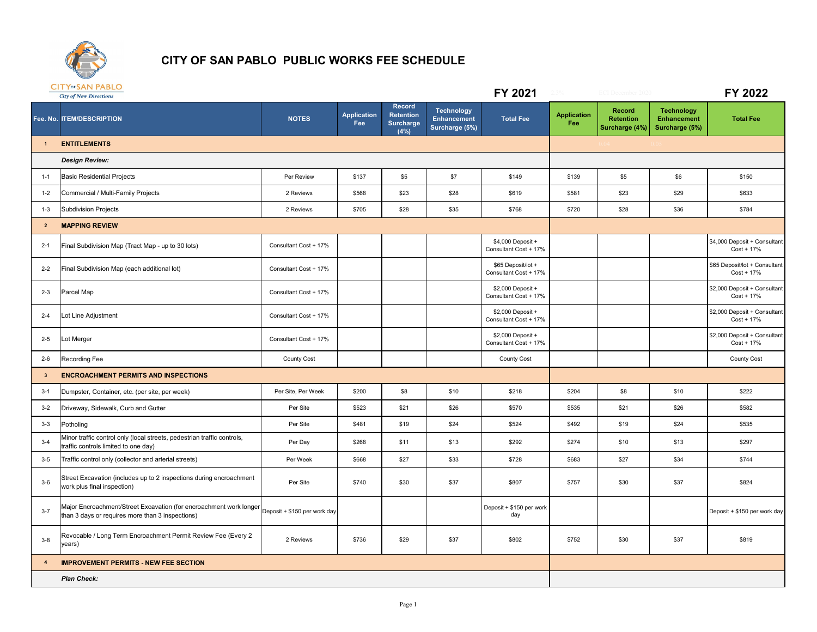

## **CITY OF SAN PABLO PUBLIC WORKS FEE SCHEDULE**

|                         | <b>CITY OF SAN PABLO</b><br><b>City of New Directions</b>                                                                                           |                       |                           |                                                        |                                                           | FY 2021                                     |                           | <b>ECI</b> December                                 |                                                           | FY 2022                                       |
|-------------------------|-----------------------------------------------------------------------------------------------------------------------------------------------------|-----------------------|---------------------------|--------------------------------------------------------|-----------------------------------------------------------|---------------------------------------------|---------------------------|-----------------------------------------------------|-----------------------------------------------------------|-----------------------------------------------|
|                         | Fee. No. ITEM/DESCRIPTION                                                                                                                           | <b>NOTES</b>          | <b>Application</b><br>Fee | Record<br><b>Retention</b><br><b>Surcharge</b><br>(4%) | <b>Technology</b><br><b>Enhancement</b><br>Surcharge (5%) | <b>Total Fee</b>                            | <b>Application</b><br>Fee | <b>Record</b><br><b>Retention</b><br>Surcharge (4%) | <b>Technology</b><br><b>Enhancement</b><br>Surcharge (5%) | <b>Total Fee</b>                              |
| $\mathbf{1}$            | <b>ENTITLEMENTS</b>                                                                                                                                 |                       |                           |                                                        |                                                           |                                             |                           |                                                     |                                                           |                                               |
|                         | <b>Design Review:</b>                                                                                                                               |                       |                           |                                                        |                                                           |                                             |                           |                                                     |                                                           |                                               |
| $1 - 1$                 | <b>Basic Residential Projects</b>                                                                                                                   | Per Review            | \$137                     | \$5                                                    | \$7                                                       | \$149                                       | \$139                     | \$5                                                 | \$6                                                       | \$150                                         |
| $1 - 2$                 | Commercial / Multi-Family Projects                                                                                                                  | 2 Reviews             | \$568                     | \$23                                                   | \$28                                                      | \$619                                       | \$581                     | \$23                                                | \$29                                                      | \$633                                         |
| $1 - 3$                 | <b>Subdivision Projects</b>                                                                                                                         | 2 Reviews             | \$705                     | \$28                                                   | \$35                                                      | \$768                                       | \$720                     | \$28                                                | \$36                                                      | \$784                                         |
| $\overline{2}$          | <b>MAPPING REVIEW</b>                                                                                                                               |                       |                           |                                                        |                                                           |                                             |                           |                                                     |                                                           |                                               |
| $2 - 1$                 | Final Subdivision Map (Tract Map - up to 30 lots)                                                                                                   | Consultant Cost + 17% |                           |                                                        |                                                           | \$4,000 Deposit +<br>Consultant Cost + 17%  |                           |                                                     |                                                           | \$4,000 Deposit + Consultant<br>Cost + 17%    |
| $2 - 2$                 | Final Subdivision Map (each additional lot)                                                                                                         | Consultant Cost + 17% |                           |                                                        |                                                           | \$65 Deposit/lot +<br>Consultant Cost + 17% |                           |                                                     |                                                           | \$65 Deposit/lot + Consultant<br>$Cost + 17%$ |
| $2 - 3$                 | Parcel Map                                                                                                                                          | Consultant Cost + 17% |                           |                                                        |                                                           | \$2,000 Deposit +<br>Consultant Cost + 17%  |                           |                                                     |                                                           | \$2,000 Deposit + Consultant<br>$Cost + 17%$  |
| $2 - 4$                 | Lot Line Adjustment                                                                                                                                 | Consultant Cost + 17% |                           |                                                        |                                                           | \$2,000 Deposit +<br>Consultant Cost + 17%  |                           |                                                     |                                                           | \$2,000 Deposit + Consultant<br>$Cost + 17%$  |
| $2 - 5$                 | Lot Merger                                                                                                                                          | Consultant Cost + 17% |                           |                                                        |                                                           | \$2,000 Deposit +<br>Consultant Cost + 17%  |                           |                                                     |                                                           | \$2,000 Deposit + Consultant<br>$Cost + 17%$  |
| $2 - 6$                 | <b>Recording Fee</b>                                                                                                                                | County Cost           |                           |                                                        |                                                           | County Cost                                 |                           |                                                     |                                                           | <b>County Cost</b>                            |
| $\mathbf{3}$            | <b>ENCROACHMENT PERMITS AND INSPECTIONS</b>                                                                                                         |                       |                           |                                                        |                                                           |                                             |                           |                                                     |                                                           |                                               |
| $3 - 1$                 | Dumpster, Container, etc. (per site, per week)                                                                                                      | Per Site, Per Week    | \$200                     | \$8                                                    | \$10                                                      | \$218                                       | \$204                     | \$8                                                 | \$10                                                      | \$222                                         |
| $3 - 2$                 | Driveway, Sidewalk, Curb and Gutter                                                                                                                 | Per Site              | \$523                     | \$21                                                   | \$26                                                      | \$570                                       | \$535                     | \$21                                                | \$26                                                      | \$582                                         |
| $3 - 3$                 | Potholing                                                                                                                                           | Per Site              | \$481                     | \$19                                                   | \$24                                                      | \$524                                       | \$492                     | \$19                                                | \$24                                                      | \$535                                         |
| $3-4$                   | Minor traffic control only (local streets, pedestrian traffic controls,<br>traffic controls limited to one day)                                     | Per Day               | \$268                     | \$11                                                   | \$13                                                      | \$292                                       | \$274                     | \$10                                                | \$13                                                      | \$297                                         |
| $3 - 5$                 | Traffic control only (collector and arterial streets)                                                                                               | Per Week              | \$668                     | \$27                                                   | \$33                                                      | \$728                                       | \$683                     | \$27                                                | \$34                                                      | \$744                                         |
| $3-6$                   | Street Excavation (includes up to 2 inspections during encroachment<br>work plus final inspection)                                                  | Per Site              | \$740                     | \$30                                                   | \$37                                                      | \$807                                       | \$757                     | \$30                                                | \$37                                                      | \$824                                         |
| $3 - 7$                 | Major Encroachment/Street Excavation (for encroachment work longer Deposit + \$150 per work day<br>than 3 days or requires more than 3 inspections) |                       |                           |                                                        |                                                           | Deposit + \$150 per work<br>day             |                           |                                                     |                                                           | Deposit + \$150 per work day                  |
| $3 - 8$                 | Revocable / Long Term Encroachment Permit Review Fee (Every 2<br>years)                                                                             | 2 Reviews             | \$736                     | \$29                                                   | \$37                                                      | \$802                                       | \$752                     | \$30                                                | \$37                                                      | \$819                                         |
| $\overline{\mathbf{4}}$ | <b>IMPROVEMENT PERMITS - NEW FEE SECTION</b>                                                                                                        |                       |                           |                                                        |                                                           |                                             |                           |                                                     |                                                           |                                               |
|                         | <b>Plan Check:</b>                                                                                                                                  |                       |                           |                                                        |                                                           |                                             |                           |                                                     |                                                           |                                               |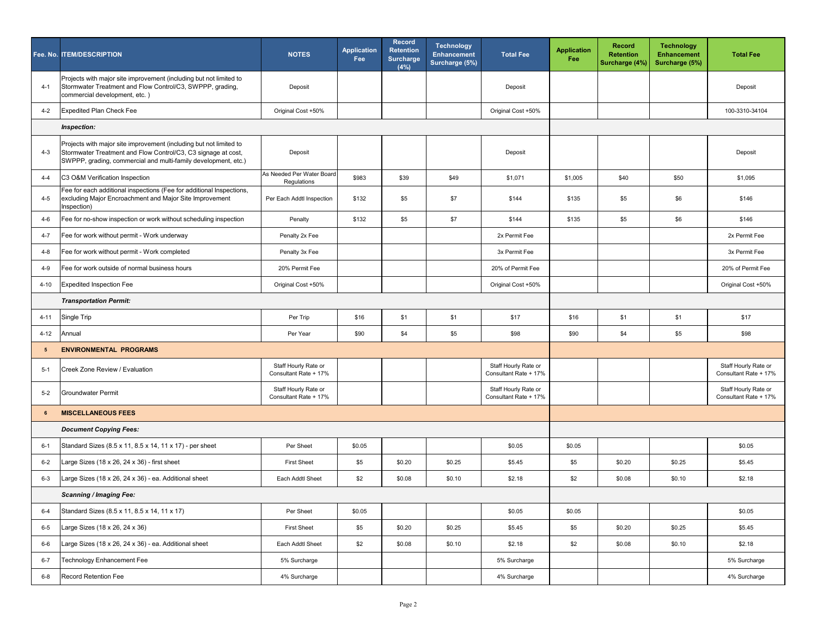|                 | Fee. No. ITEM/DESCRIPTION                                                                                                                                                                             | <b>NOTES</b>                                  | <b>Application</b><br>Fee | Record<br><b>Retention</b><br><b>Surcharge</b><br>(4%) | <b>Technology</b><br><b>Enhancement</b><br>Surcharge (5%) | <b>Total Fee</b>                              | <b>Application</b><br>Fee | <b>Record</b><br><b>Retention</b><br>Surcharge (4%) | <b>Technology</b><br><b>Enhancement</b><br>Surcharge (5%) | <b>Total Fee</b>                              |
|-----------------|-------------------------------------------------------------------------------------------------------------------------------------------------------------------------------------------------------|-----------------------------------------------|---------------------------|--------------------------------------------------------|-----------------------------------------------------------|-----------------------------------------------|---------------------------|-----------------------------------------------------|-----------------------------------------------------------|-----------------------------------------------|
| $4 - 1$         | Projects with major site improvement (including but not limited to<br>Stormwater Treatment and Flow Control/C3, SWPPP, grading,<br>commercial development, etc.)                                      | Deposit                                       |                           |                                                        |                                                           | Deposit                                       |                           |                                                     |                                                           | Deposit                                       |
| $4 - 2$         | <b>Expedited Plan Check Fee</b>                                                                                                                                                                       | Original Cost +50%                            |                           |                                                        |                                                           | Original Cost +50%                            |                           |                                                     |                                                           | 100-3310-34104                                |
|                 | <b>Inspection:</b>                                                                                                                                                                                    |                                               |                           |                                                        |                                                           |                                               |                           |                                                     |                                                           |                                               |
| $4 - 3$         | Projects with major site improvement (including but not limited to<br>Stormwater Treatment and Flow Control/C3, C3 signage at cost,<br>SWPPP, grading, commercial and multi-family development, etc.) | Deposit                                       |                           |                                                        |                                                           | Deposit                                       |                           |                                                     |                                                           | Deposit                                       |
| $4 - 4$         | C3 O&M Verification Inspection                                                                                                                                                                        | As Needed Per Water Board<br>Regulations      | \$983                     | \$39                                                   | \$49                                                      | \$1,071                                       | \$1,005                   | \$40                                                | \$50                                                      | \$1,095                                       |
| $4 - 5$         | Fee for each additional inspections (Fee for additional Inspections,<br>excluding Major Encroachment and Major Site Improvement<br>Inspection)                                                        | Per Each Addtl Inspection                     | \$132                     | \$5                                                    | \$7                                                       | \$144                                         | \$135                     | \$5                                                 | \$6                                                       | \$146                                         |
| 4-6             | Fee for no-show inspection or work without scheduling inspection                                                                                                                                      | Penalty                                       | \$132                     | \$5                                                    | \$7                                                       | \$144                                         | \$135                     | \$5                                                 | \$6                                                       | \$146                                         |
| $4 - 7$         | Fee for work without permit - Work underway                                                                                                                                                           | Penalty 2x Fee                                |                           |                                                        |                                                           | 2x Permit Fee                                 |                           |                                                     |                                                           | 2x Permit Fee                                 |
| 4-8             | Fee for work without permit - Work completed                                                                                                                                                          | Penalty 3x Fee                                |                           |                                                        |                                                           | 3x Permit Fee                                 |                           |                                                     |                                                           | 3x Permit Fee                                 |
| $4 - 9$         | Fee for work outside of normal business hours                                                                                                                                                         | 20% Permit Fee                                |                           |                                                        |                                                           | 20% of Permit Fee                             |                           |                                                     |                                                           | 20% of Permit Fee                             |
| $4 - 10$        | <b>Expedited Inspection Fee</b>                                                                                                                                                                       | Original Cost +50%                            |                           |                                                        |                                                           | Original Cost +50%                            |                           |                                                     |                                                           | Original Cost +50%                            |
|                 | <b>Transportation Permit:</b>                                                                                                                                                                         |                                               |                           |                                                        |                                                           |                                               |                           |                                                     |                                                           |                                               |
| $4 - 11$        | Single Trip                                                                                                                                                                                           | Per Trip                                      | \$16                      | \$1                                                    | \$1                                                       | \$17                                          | \$16                      | \$1                                                 | \$1                                                       | \$17                                          |
| $4 - 12$        | Annual                                                                                                                                                                                                | Per Year                                      | \$90                      | \$4                                                    | \$5                                                       | \$98                                          | \$90                      | \$4                                                 | \$5                                                       | \$98                                          |
| $5\phantom{.0}$ | <b>ENVIRONMENTAL PROGRAMS</b>                                                                                                                                                                         |                                               |                           |                                                        |                                                           |                                               |                           |                                                     |                                                           |                                               |
| $5-1$           | Creek Zone Review / Evaluation                                                                                                                                                                        | Staff Hourly Rate or<br>Consultant Rate + 17% |                           |                                                        |                                                           | Staff Hourly Rate or<br>Consultant Rate + 17% |                           |                                                     |                                                           | Staff Hourly Rate or<br>Consultant Rate + 17% |
| $5-2$           | <b>Groundwater Permit</b>                                                                                                                                                                             | Staff Hourly Rate or<br>Consultant Rate + 17% |                           |                                                        |                                                           | Staff Hourly Rate or<br>Consultant Rate + 17% |                           |                                                     |                                                           | Staff Hourly Rate or<br>Consultant Rate + 17% |
| 6               | <b>MISCELLANEOUS FEES</b>                                                                                                                                                                             |                                               |                           |                                                        |                                                           |                                               |                           |                                                     |                                                           |                                               |
|                 | <b>Document Copying Fees:</b>                                                                                                                                                                         |                                               |                           |                                                        |                                                           |                                               |                           |                                                     |                                                           |                                               |
| $6 - 1$         | Standard Sizes (8.5 x 11, 8.5 x 14, 11 x 17) - per sheet                                                                                                                                              | Per Sheet                                     | \$0.05                    |                                                        |                                                           | \$0.05                                        | \$0.05                    |                                                     |                                                           | \$0.05                                        |
| $6 - 2$         | Large Sizes (18 x 26, 24 x 36) - first sheet                                                                                                                                                          | <b>First Sheet</b>                            | \$5                       | \$0.20                                                 | \$0.25                                                    | \$5.45                                        | \$5                       | \$0.20                                              | \$0.25                                                    | \$5.45                                        |
| $6 - 3$         | Large Sizes (18 x 26, 24 x 36) - ea. Additional sheet                                                                                                                                                 | Each Addtl Sheet                              | \$2                       | \$0.08                                                 | \$0.10                                                    | \$2.18                                        | \$2                       | \$0.08                                              | \$0.10                                                    | \$2.18                                        |
|                 | <b>Scanning / Imaging Fee:</b>                                                                                                                                                                        |                                               |                           |                                                        |                                                           |                                               |                           |                                                     |                                                           |                                               |
| $6 - 4$         | Standard Sizes (8.5 x 11, 8.5 x 14, 11 x 17)                                                                                                                                                          | Per Sheet                                     | \$0.05                    |                                                        |                                                           | \$0.05                                        | \$0.05                    |                                                     |                                                           | \$0.05                                        |
| $6-5$           | Large Sizes (18 x 26, 24 x 36)                                                                                                                                                                        | <b>First Sheet</b>                            | \$5                       | \$0.20                                                 | \$0.25                                                    | \$5.45                                        | \$5                       | \$0.20                                              | \$0.25                                                    | \$5.45                                        |
| $6-6$           | Large Sizes (18 x 26, 24 x 36) - ea. Additional sheet                                                                                                                                                 | Each Addtl Sheet                              | \$2                       | \$0.08                                                 | \$0.10                                                    | \$2.18                                        | \$2                       | \$0.08                                              | \$0.10                                                    | \$2.18                                        |
| $6 - 7$         | <b>Technology Enhancement Fee</b>                                                                                                                                                                     | 5% Surcharge                                  |                           |                                                        |                                                           | 5% Surcharge                                  |                           |                                                     |                                                           | 5% Surcharge                                  |
| $6 - 8$         | Record Retention Fee                                                                                                                                                                                  | 4% Surcharge                                  |                           |                                                        |                                                           | 4% Surcharge                                  |                           |                                                     |                                                           | 4% Surcharge                                  |